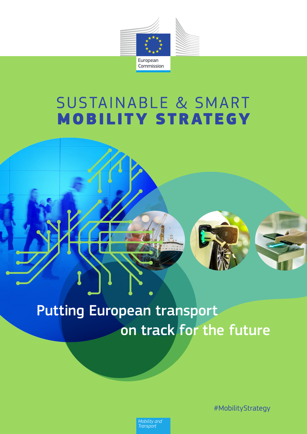

# **SUSTAINABLE & SMART MOBILITY STRATEGY**



# Putting European transport on track for the future

#MobilityStrategy

Mobility and<br>Transport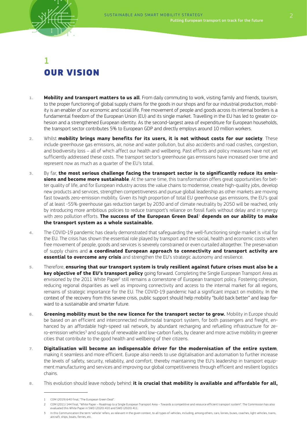

# 1 OUR VISION

- 1. **Mobility and transport matters to us all**. From daily commuting to work, visiting family and friends, tourism, to the proper functioning of global supply chains for the goods in our shops and for our industrial production, mobility is an enabler of our economic and social life. Free movement of people and goods across its internal borders is a fundamental freedom of the European Union (EU) and its single market. Travelling in the EU has led to greater cohesion and a strengthened European identity. As the second-largest area of expenditure for European households, the transport sector contributes 5% to European GDP and directly employs around 10 million workers.
- 2. Whilst **mobility brings many benefits for its users, it is not without costs for our society**. These include greenhouse gas emissions, air, noise and water pollution, but also accidents and road crashes, congestion, and biodiversity loss – all of which affect our health and wellbeing. Past efforts and policy measures have not yet sufficiently addressed these costs. The transport sector's greenhouse gas emissions have increased over time and represent now as much as a quarter of the EU's total.
- 3. By far, **the most serious challenge facing the transport sector is to significantly reduce its emissions and become more sustainable**. At the same time, this transformation offers great opportunities for better quality of life, and for European industry across the value chains to modernise, create high-quality jobs, develop new products and services, strengthen competitiveness and pursue global leadership as other markets are moving fast towards zero-emission mobility. Given its high proportion of total EU greenhouse gas emissions, the EU's goal of at least -55% greenhouse gas reduction target by 2030 and of climate neutrality by 2050 will be reached, only by introducing more ambitious policies to reduce transport's reliance on fossil fuels without delay and in synergy with zero pollution efforts. **The success of the European Green Deal**<sup>1</sup>  **depends on our ability to make the transport system as a whole sustainable.**
- 4. The COVID-19 pandemic has clearly demonstrated that safeguarding the well-functioning single market is vital for the EU. The crisis has shown the essential role played by transport and the social, health and economic costs when free movement of people, goods and services is severely constrained or even curtailed altogether. The preservation of supply chains and **a coordinated European approach to connectivity and transport activity are essential to overcome any crisis** and strengthen the EU's strategic autonomy and resilience.
- 5. Therefore, **ensuring that our transport system is truly resilient against future crises must also be a key objective of the EU's transport policy** going forward. Completing the Single European Transport Area as envisioned by the 2011 White Paper<sup>2</sup> still remains a cornerstone of European transport policy. Fostering cohesion, reducing regional disparities as well as improving connectivity and access to the internal market for all regions, remains of strategic importance for the EU. The COVID-19 pandemic had a significant impact on mobility. In the context of the recovery from this severe crisis, public support should help mobility "build back better" and leap forward to a sustainable and smarter future.
- 6. **Greening mobility must be the new licence for the transport sector to grow.** Mobility in Europe should be based on an efficient and interconnected multimodal transport system, for both passengers and freight, enhanced by an affordable high-speed rail network, by abundant recharging and refuelling infrastructure for zero-emission vehicles<sup>3</sup> and supply of renewable and low-carbon fuels, by cleaner and more active mobility in greener cities that contribute to the good health and wellbeing of their citizens.
- 7. **Digitalisation will become an indispensable driver for the modernisation of the entire system**, making it seamless and more efficient. Europe also needs to use digitalisation and automation to further increase the levels of safety, security, reliability, and comfort, thereby maintaining the EU's leadership in transport equipment manufacturing and services and improving our global competitiveness through efficient and resilient logistics chains.
- 8. This evolution should leave nobody behind: **it is crucial that mobility is available and affordable for all,**

<sup>1</sup> COM (2019) 640 final, "The European Green Deal".

<sup>2</sup> COM (2011) 144 final, "White Paper – Roadmap to a Single European Transport Area – Towards a competitive and resource efficient transport system". The Commission has also evaluated this White Paper in SWD (2020) 410 and SWD (2020) 411.

In this Communication the term 'vehicle' refers, as relevant in the given context, to all types of vehicles, including, among others, cars, lorries, buses, coaches, light vehicles, trains, aircraft, ships, boats, ferries, etc.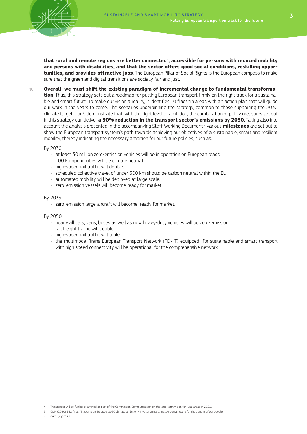

**that rural and remote regions are better connected**<sup>4</sup>**, accessible for persons with reduced mobility and persons with disabilities, and that the sector offers good social conditions, reskilling opportunities, and provides attractive jobs**. The European Pillar of Social Rights is the European compass to make sure that the green and digital transitions are socially fair and just.

9. **Overall, we must shift the existing paradigm of incremental change to fundamental transformation**. Thus, this strategy sets out a roadmap for putting European transport firmly on the right track for a sustainable and smart future. To make our vision a reality, it identifies 10 flagship areas with an action plan that will guide our work in the years to come. The scenarios underpinning the strategy, common to those supporting the 2030 climate target plan<sup>5</sup>, demonstrate that, with the right level of ambition, the combination of policy measures set out in this strategy can deliver **a 90% reduction in the transport sector's emissions by 2050**. Taking also into account the analysis presented in the accompanying Staff Working Document<sup>6</sup>, various **milestones** are set out to show the European transport system's path towards achieving our objectives of a sustainable, smart and resilient mobility, thereby indicating the necessary ambition for our future policies, such as:

By 2030:

- at least 30 million zero-emission vehicles will be in operation on European roads.
- 100 European cities will be climate neutral.
- high-speed rail traffic will double.
- scheduled collective travel of under 500 km should be carbon neutral within the EU.
- automated mobility will be deployed at large scale.
- zero-emission vessels will become ready for market

#### By 2035:

• zero-emission large aircraft will become ready for market.

By 2050:

- nearly all cars, vans, buses as well as new heavy-duty vehicles will be zero-emission.
- rail freight traffic will double.
- high-speed rail traffic will triple.
- the multimodal Trans-European Transport Network (TEN-T) equipped for sustainable and smart transport with high speed connectivity will be operational for the comprehensive network.

<sup>4</sup> This aspect will be further examined as part of the Commission Communication on the long-term vision for rural areas in 2021.

<sup>5</sup> COM (2020) 562 final, "Stepping up Europe's 2030 climate ambition - Investing in a climate-neutral future for the benefit of our people"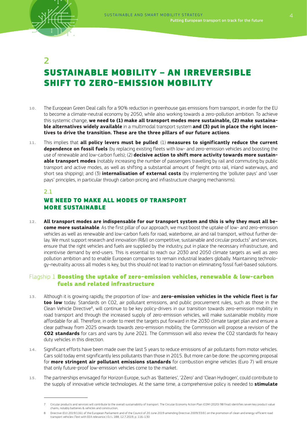

# 2 SUSTAINABLE MOBILITY – AN IRREVERSIBLE SHIFT TO ZERO-EMISSION MOBILITY

- 10. The European Green Deal calls for a 90% reduction in greenhouse gas emissions from transport, in order for the EU to become a climate-neutral economy by 2050, while also working towards a zero-pollution ambition. To achieve this systemic change, **we need to (1) make all transport modes more sustainable, (2) make sustainable alternatives widely available** in a multimodal transport system **and (3) put in place the right incentives to drive the transition. These are the three pillars of our future actions**.
- 11. This implies that **all policy levers must be pulled**: (1) **measures to significantly reduce the current dependence on fossil fuels** (by replacing existing fleets with low- and zero-emission vehicles and boosting the use of renewable and low-carbon fuels); (2) **decisive action to shift more activity towards more sustainable transport modes** (notably increasing the number of passengers travelling by rail and commuting by public transport and active modes, as well as shifting a substantial amount of freight onto rail, inland waterways, and short sea shipping); and (3) **internalisation of external costs** (by implementing the 'polluter pays' and 'user pays' principles, in particular through carbon pricing and infrastructure charging mechanisms).

#### 2.1

### WE NEED TO MAKE ALL MODES OF TRANSPORT MORE SUSTAINABLE

12. **All transport modes are indispensable for our transport system and this is why they must all become more sustainable**. As the first pillar of our approach, we must boost the uptake of low- and zero-emission vehicles as well as renewable and low-carbon fuels for road, waterborne, air and rail transport, without further delay. We must support research and innovation (R&I) on competitive, sustainable and circular products<sup>7</sup> and services, ensure that the right vehicles and fuels are supplied by the industry, put in place the necessary infrastructure, and incentivise demand by end-users. This is essential to reach our 2030 and 2050 climate targets as well as zero pollution ambition and to enable European companies to remain industrial leaders globally. Maintaining technology-neutrality across all modes is key, but this should not lead to inaction on eliminating fossil fuel-based solutions.

#### Flagship 1 Boosting the uptake of zero-emission vehicles, renewable & low-carbon fuels and related infrastructure

- 13. Although it is growing rapidly, the proportion of low- and **zero-emission vehicles in the vehicle fleet is far too low** today. Standards on CO2, air pollutant emissions, and public procurement rules, such as those in the Clean Vehicle Directive<sup>8</sup>, will continue to be key policy-drivers in our transition towards zero-emission mobility in road transport and through the increased supply of zero-emission vehicles, will make sustainable mobility more affordable for all. Therefore, in order to meet the targets put forward in the 2030 climate target plan and ensure a clear pathway from 2025 onwards towards zero-emission mobility, the Commission will propose a revision of the **CO2 standards** for cars and vans by June 2021. The Commission will also review the CO2 standards for heavy duty vehicles in this direction.
- 14. Significant efforts have been made over the last 5 years to reduce emissions of air pollutants from motor vehicles. Cars sold today emit significantly less pollutants than those in 2015. But more can be done: the upcoming proposal for **more stringent air pollutant emissions standards** for combustion engine vehicles (Euro 7) will ensure that only future-proof low-emission vehicles come to the market.
- 15. The partnerships envisaged for Horizon Europe, such as 'Batteries', '2Zero' and 'Clean Hydrogen', could contribute to the supply of innovative vehicle technologies. At the same time, a comprehensive policy is needed to **stimulate**

<sup>7</sup> Circular products and services will contribute to the overall sustainability of transport. The Circular Economy Action Plan (COM (2020) 98 final) identifies seven key product value chains, notably batteries & vehicles and construction,

<sup>8</sup> Directive (EU) 2019/1161 of the European Parliament and of the Council of 20 June 2019 amending Directive 2009/33/EC on the promotion of clean and energy-efficient road transport vehicles (Text with EEA relevance.) OJ L 188, 12.7.2019, p. 116–130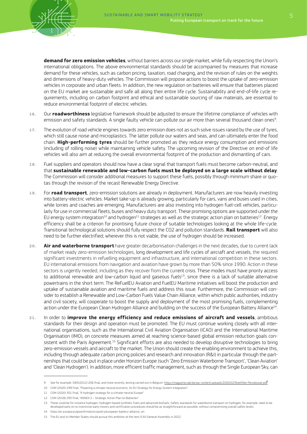**demand for zero emission vehicles**, without barriers across our single market, while fully respecting the Union's international obligations. The above environmental standards should be accompanied by measures that increase demand for these vehicles, such as carbon pricing, taxation, road charging, and the revision of rules on the weights and dimensions of heavy-duty vehicles. The Commission will propose actions to boost the uptake of zero-emission vehicles in corporate and urban fleets. In addition, the new regulation on batteries will ensure that batteries placed on the EU market are sustainable and safe all along their entire life cycle. Sustainability and end-of-life cycle requirements, including on carbon footprint and ethical and sustainable sourcing of raw materials, are essential to reduce environmental footprint of electric vehicles.

- 16. Our **roadworthiness** legislative framework should be adjusted to ensure the lifetime compliance of vehicles with emission and safety standards. A single faulty vehicle can pollute our air more than several thousand clean ones<sup>9</sup>.
- 17. The evolution of road vehicle engines towards zero emission does not as such solve issues raised by the use of tyres, which still cause noise and microplastics. The latter pollute our waters and seas, and can ultimately enter the food chain. **High-performing tyres** should be further promoted as they reduce energy consumption and emissions (including of rolling noise) while maintaining vehicle safety. The upcoming revision of the Directive on end-of life vehicles will also aim at reducing the overall environmental footprint of the production and dismantling of cars.
- 18. Fuel suppliers and operators should now have a clear signal that transport fuels must become carbon-neutral, and that **sustainable renewable and low-carbon fuels must be deployed on a large scale without delay**. The Commission will consider additional measures to support these fuels, possibly through minimum share or quotas through the revision of the recast Renewable Energy Directive.
- 19. For **road transport**, zero-emission solutions are already in deployment. Manufacturers are now heavily investing into battery-electric vehicles. Market take-up is already growing, particularly for cars, vans and buses used in cities, while lorries and coaches are emerging. Manufacturers are also investing into hydrogen fuel-cell vehicles, particularly for use in commercial fleets, buses and heavy duty transport. These promising options are supported under the EU energy system integration<sup>10</sup> and hydrogen<sup>11</sup> strategies as well as the strategic action plan on batteries<sup>12</sup>. Energy efficiency shall be a criterion for prioritising future choice of suitable technologies looking at the whole life-cycle. Transitional technological solutions should fully respect the CO2 and pollution standards. **Rail transport** will also need to be further electrified; wherever this is not viable, the use of hydrogen should be increased.
- 20. **Air and waterborne transport** have greater decarbonisation challenges in the next decades, due to current lack of market ready zero-emission technologies, long development and life cycles of aircraft and vessels, the required significant investments in refuelling equipment and infrastructure, and international competition in these sectors. EU international emissions from navigation and aviation have grown by more than 50% since 1990. Action in these sectors is urgently needed, including as they recover from the current crisis. These modes must have priority access to additional renewable and low-carbon liquid and gaseous fuels<sup>13</sup>, since there is a lack of suitable alternative powertrains in the short term. The ReFuelEU Aviation and FuelEU Maritime initiatives will boost the production and uptake of sustainable aviation and maritime fuels and address this issue. Furthermore, the Commission will consider to establish a Renewable and Low-Carbon Fuels Value Chain Alliance, within which public authorities, industry and civil society, will cooperate to boost the supply and deployment of the most promising fuels, complementing action under the European Clean Hydrogen Alliance and building on the success of the European Battery Alliance<sup>14</sup>.
- 21. In order to **improve the energy efficiency and reduce emissions of aircraft and vessels**, ambitious standards for their design and operation must be promoted. The EU must continue working closely with all international organisations, such as the International Civil Aviation Organisation (ICAO) and the International Maritime Organisation (IMO), on concrete measures aimed at reaching science-based global emission reduction goals consistent with the Paris Agreement.<sup>15</sup> Significant efforts are also needed to develop disruptive technologies to bring zero-emission vessels and aircraft to the market. The Union should create the enabling environment to achieve this, including through adequate carbon pricing policies and research and innovation (R&I) in particular through the partnerships that could be put in place under Horizon Europe (such 'Zero Emission Waterborne Transport', 'Clean Aviation' and 'Clean Hydrogen'). In addition, more efficient traffic management, such as through the Single European Sky, can

<sup>9</sup> See for example: SWD(2012) 206 final, and more recently, testing carried out in Belgium. https://magazine.vab.be/wp-content/uploads/2020/02/Roetfilter-Persdossier.pdf

<sup>10</sup> COM (2020) 299 final, "Powering a climate-neutral economy: An EU Strategy for Energy System Integration"

<sup>11</sup> COM (2020) 301 final, "A hydrogen strategy for a climate-neutral Europe"

<sup>12</sup> COM (2018) 293 final, "ANNEX 2 – Strategic Action Plan on Batteries"

<sup>13</sup> These could be for instance hydrogen, hydrogen-based synthetic fuels and advanced biofuels. Safety standards for waterborne transport on hydrogen, for example, need to be<br>developed early on to incentivise early movers a

<sup>14</sup> https://ec.europa.eu/growth/industry/policy/european-battery-alliance\_en

<sup>15</sup> The EU and its Member States should pursue this ambition at the next ICAO General Assembly in 2022.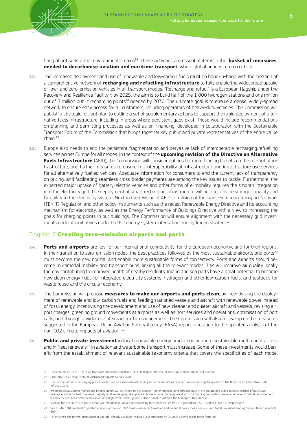

bring about substantial environmental gains16. These activities are essential items in the '**basket of measures**' **needed to decarbonise aviation and maritime transport**, where global actions remain critical.

- 22. The increased deployment and use of renewable and low-carbon fuels must go hand-in-hand with the creation of a comprehensive network of **recharging and refuelling infrastructure** to fully enable the widespread uptake of low- and zero-emission vehicles in all transport modes. "Recharge and refuel" is a European flagship under the Recovery and Resilience Facility<sup>17</sup>: by 2025, the aim is to build half of the 1 000 hydrogen stations and one million out of 3 million public recharging points<sup>18</sup> needed by 2030. The ultimate goal is to ensure a dense, widely-spread network to ensure easy access for all customers, including operators of heavy-duty vehicles. The Commission will publish a strategic roll-out plan to outline a set of supplementary actions to support the rapid deployment of alternative fuels infrastructure, including in areas where persistent gaps exist. These would include recommendations on planning and permitting processes as well as on financing, developed in collaboration with the Sustainable Transport Forum of the Commission that brings together key public and private representatives of the entire value chain.19
- 23. Europe also needs to end the persistent fragmentation and pervasive lack of interoperable recharging/refuelling services across Europe for all modes. In the context of the **upcoming revision of the Directive on Alternative Fuels Infrastructure** (AFID), the Commission will consider options for more binding targets on the roll-out of infrastructure, and further measures to ensure full interoperability of infrastructure and infrastructure use services for all alternatively fuelled vehicles. Adequate information for consumers to end the current lack of transparency on pricing, and facilitating seamless cross-border payments are among the key issues to tackle. Furthermore, the expected major uptake of battery-electric vehicles and other forms of e-mobility requires the smooth integration into the electricity grid. The deployment of smart recharging infrastructure will help to provide storage capacity and flexibility to the electricity system. Next to the revision of AFID, a revision of the Trans-European Transport Network (TEN-T) Regulation and other policy instruments such as the recast Renewable Energy Directive and its accounting mechanism for electricity, as well as the Energy Performance of Buildings Directive with a view to increasing the goals for charging points in our buildings. The Commission will ensure alignment with the necessary grid investments under its initiatives under the EU energy system integration and hydrogen strategies.

#### Flagship 2 Creating zero-emission airports and ports

- 24. **Ports and airports** are key for our international connectivity, for the European economy, and for their regions. In their transition to zero-emission nodes, the best practices followed by the most sustainable airports and ports<sup>20</sup> must become the new normal and enable more sustainable forms of connectivity. Ports and airports should become multimodal mobility and transport hubs, linking all the relevant modes. This will improve air quality locally thereby contributing to improved health of nearby residents. Inland and sea ports have a great potential to become new clean energy hubs for integrated electricity systems, hydrogen and other low-carbon fuels, and testbeds for waste reuse and the circular economy.
- 25. The Commission will propose **measures to make our airports and ports clean**, by incentivising the deployment of renewable and low-carbon fuels and feeding stationed vessels and aircraft with renewable power instead of fossil energy, incentivising the development and use of new, cleaner and quieter aircraft and vessels, revising airport charges, greening ground movements at airports as well as port services and operations, optimisation of port calls, and through a wider use of smart traffic management. The Commission will also follow-up on the measures suggested in the European Union Aviation Safety Agency (EASA) report in relation to the updated analysis of the non-CO2 climate impacts of aviation. 21
- 26. **Public and private investment** in local renewable energy production, in more sustainable multimodal access and in fleet renewals<sup>22</sup> in aviation and waterborne transport must increase. Some of these investments would benefit from the establishment of relevant sustainable taxonomy criteria that covers the specificities of each mode,

<sup>16</sup> This can reduce up to 10% of air transport emissions and also ATM could help to address the non-CO2 climate impacts of aviation.

<sup>17</sup> COM(2020) 575 final, "Annual Sustainable Growth Survey 2021"

<sup>18</sup> The number of public recharging points needed will be assessed in detail as part of the Impact Assessment accompanying the revision of the Directive on Alternative Fuels Infrastructure.

<sup>19</sup> Where necessary, other market and finance actors will be invited to this process. Fostering recharging infrastructure in the private and public building stock is of particular relevance in this context: the large majority of all recharging takes place at home or work. Full alignment with the ongoing Renovation Wave initiative and mutual reinforcement<br>will be ensured. The Commission will set up a

<sup>20</sup> Such as the EcoPorts or Airport Carbon Accreditation initiatives, developed by the European Sea Ports Organisation (ESPO) and ACI EUROPE, respectively.

<sup>21</sup> See COM(2020) 747 final, "Updated analysis of the non-CO2 climate impacts of aviation and potential policy measures pursuant to EU Emissions Trading System Directive Article  $30(4)$ 

<sup>22</sup> For instance, the newest generation of aircraft, already available, reduces CO2 emissions by 20-25% as well as the noise footprint.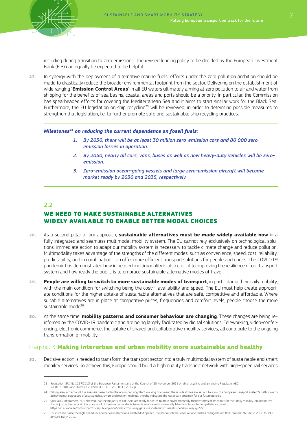including during transition to zero emissions. The revised lending policy to be decided by the European Investment Bank (EIB) can equally be expected to be helpful.

27. In synergy with the deployment of alternative marine fuels, efforts under the zero pollution ambition should be made to drastically reduce the broader environmental footprint from the sector. Delivering on the establishment of wide ranging '**Emission Control Areas**' in all EU waters ultimately aiming at zero pollution to air and water from shipping for the benefits of sea basins, coastal areas and ports should be a priority. In particular, the Commission has spearheaded efforts for covering the Mediterranean Sea and it aims to start similar work for the Black Sea. Furthermore, the EU legislation on ship recycling<sup>23</sup> will be reviewed, in order to determine possible measures to strengthen that legislation, i.e. to further promote safe and sustainable ship recycling practices.

#### *Milestones24 on reducing the current dependence on fossil fuels:*

- *1. By 2030, there will be at least 30 million zero-emission cars and 80 000 zeroemission lorries in operation.*
- *2. By 2050, nearly all cars, vans, buses as well as new heavy-duty vehicles will be zeroemission.*
- *3. Zero-emission ocean-going vessels and large zero-emission aircraft will become market ready by 2030 and 2035, respectively.*

#### 2.2

### WE NEED TO MAKE SUSTAINABLE ALTERNATIVES WIDELY AVAILABLE TO ENABLE BETTER MODAL CHOICES

- 28. As a second pillar of our approach, **sustainable alternatives must be made widely available now** in a fully integrated and seamless multimodal mobility system. The EU cannot rely exclusively on technological solutions: immediate action to adapt our mobility system is necessary to tackle climate change and reduce pollution. Multimodality takes advantage of the strengths of the different modes, such as convenience, speed, cost, reliability, predictability, and in combination, can offer more efficient transport solutions for people and goods. The COVID-19 pandemic has demonstrated how increased multimodality is also crucial to improving the resilience of our transport system and how ready the public is to embrace sustainable alternative modes of travel.
- 29. **People are willing to switch to more sustainable modes of transport**, in particular in their daily mobility, with the main condition for switching being the cost<sup>25</sup>, availability and speed. The EU must help create appropriate conditions for the higher uptake of sustainable alternatives that are safe, competitive and affordable. Where suitable alternatives are in place at competitive prices, frequencies and comfort levels, people choose the more sustainable mode<sup>26</sup>.
- 30. At the same time, **mobility patterns and consumer behaviour are changing**. These changes are being reinforced by the COVID-19 pandemic and are being largely facilitated by digital solutions. Teleworking, video-conferencing, electronic commerce, the uptake of shared and collaborative mobility services, all contribute to the ongoing transformation of mobility.

#### Flagship 3 Making interurban and urban mobility more sustainable and healthy

31. Decisive action is needed to transform the transport sector into a truly multimodal system of sustainable and smart mobility services. To achieve this, Europe should build a high quality transport network with high-speed rail services

<sup>23</sup> Regulation (EU) No 1257/2013 of the European Parliament and of the Council of 20 November 2013 on ship recycling and amending Regulation (EC) No 1013/2006 and Directive 2009/16/EC, OJ L 330, 10.12.2013, p. 1.

<sup>24</sup> Taking also into account the analysis presented in the accompanying Staff Working Document, these milestones are set out to show the European transport system's path towards achieving our objectives of a sustainable, smart and resilient mobility, thereby indicating the necessary ambition for our future policies.

<sup>25</sup> Special Eurobarometer 495 showed that the majority of car users are ready to switch to more environmentally friendly forms of transport for their daily mobility. An alternative that is just as fast or a similar price would influence respondents towards a more environmentally friendly solution for long-distance travel.<br>https://ec.europa.eu/commfrontoffice/publicopinion/index.cfm/survey/getsurveyde

<sup>26</sup> For instance, since the high-speed rail line between Barcelona and Madrid opened, the modal split between air and rail has changed from 85% plane/15% train in 2008 to 38% air/62% rail in 2016.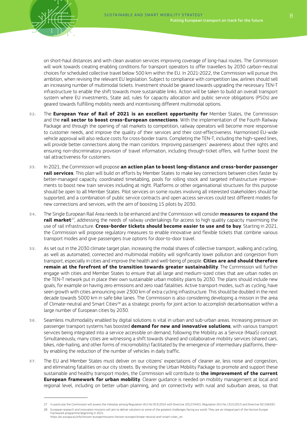on short-haul distances and with clean aviation services improving coverage of long-haul routes. The Commission will work towards creating enabling conditions for transport operators to offer travellers by 2030 carbon-neutral choices for scheduled collective travel below 500 km within the EU. In 2021-2022, the Commission will pursue this ambition, when revising the relevant EU legislation. Subject to compliance with competition law, airlines should sell an increasing number of multimodal tickets. Investment should be geared towards upgrading the necessary TEN-T infrastructure to enable the shift towards more sustainable links. Action will be taken to build an overall transport system where EU investments, State aid, rules for capacity allocation and public service obligations (PSOs) are geared towards fulfilling mobility needs and incentivising different multimodal options.

- 32. The **European Year of Rail of 2021 is an excellent opportunity for** Member States, the Commission and the **rail sector to boost cross-European connections**. With the implementation of the Fourth Railway Package and through the opening of rail markets to competition, railway operators will become more responsive to customer needs, and improve the quality of their services and their cost-effectiveness. Harmonised EU-wide vehicle approval will also reduce costs for cross-border trains. Completing the TEN-T, including the high-speed lines, will provide better connections along the main corridors. Improving passengers' awareness about their rights and ensuring non-discriminatory provision of travel information, including through-ticket offers, will further boost the rail attractiveness for customers.
- 33. In 2021, the Commission will propose **an action plan to boost long-distance and cross-border passenger rail services**. This plan will build on efforts by Member States to make key connections between cities faster by better-managed capacity, coordinated timetabling, pools for rolling stock and targeted infrastructure improvements to boost new train services including at night. Platforms or other organisational structures for this purpose should be open to all Member States. Pilot services on some routes involving all interested stakeholders should be supported, and a combination of public service contracts and open access services could test different models for new connections and services, with the aim of boosting 15 pilots by 2030.
- 34. The Single European Rail Area needs to be enhanced and the Commission will consider **measures to expand the rail market**<sup>27</sup>, addressing the needs of railway undertakings for access to high quality capacity maximising the use of rail infrastructure. **Cross-border tickets should become easier to use and to buy**. Starting in 2021, the Commission will propose regulatory measures to enable innovative and flexible tickets that combine various transport modes and give passengers true options for door-to-door travel.
- 35. As set out in the 2030 climate target plan, increasing the modal shares of collective transport, walking and cycling, as well as automated, connected and multimodal mobility will significantly lower pollution and congestion from transport, especially in cities and improve the health and well-being of people. **Cities are and should therefore remain at the forefront of the transition towards greater sustainability**. The Commission will further engage with cities and Member States to ensure that all large and medium-sized cities that are urban nodes on the TEN-T network put in place their own sustainable urban mobility plans by 2030. The plans should include new goals, for example on having zero emissions and zero road fatalities. Active transport modes, such as cycling, have seen growth with cities announcing over 2300 km of extra cycling infrastructure. This should be doubled in the next decade towards 5000 km in safe bike lanes. The Commission is also considering developing a mission in the area of Climate-neutral and Smart Cities<sup>28</sup> as a strategic priority for joint action to accomplish decarbonisation within a large number of European cities by 2030.
- 36. Seamless multimodality enabled by digital solutions is vital in urban and sub-urban areas. Increasing pressure on passenger transport systems has boosted **demand for new and innovative solutions**, with various transport services being integrated into a service accessible on demand, following the Mobility as a Service (MaaS) concept. Simultaneously, many cities are witnessing a shift towards shared and collaborative mobility services (shared cars, bikes, ride-hailing, and other forms of micromobility) facilitated by the emergence of intermediary platforms, thereby enabling the reduction of the number of vehicles in daily traffic.
- 37. The EU and Member States must deliver on our citizens' expectations of cleaner air, less noise and congestion, and eliminating fatalities on our city streets. By revising the Urban Mobility Package to promote and support these sustainable and healthy transport modes, the Commission will contribute to **the improvement of the current European framework for urban mobility**. Clearer guidance is needed on mobility management at local and regional level, including on better urban planning, and on connectivity with rural and suburban areas, so that

<sup>27</sup> In particular the Commission will assess the interplay among Regulation (EU) No 913/2010 with Directive 2012/34/EU, Regulation (EU) No 1315/2013 and Directive 92/106/EEC.

<sup>28</sup> European research and innovation missions will aim to deliver solutions to some of the greatest challenges facing our world. They are an integral part of the Horizon Europe framework programme beginning in 2021. https://ec.europa.eu/info/horizon-europe/missions-horizon-europe/climate-neutral-and-smart-cities\_en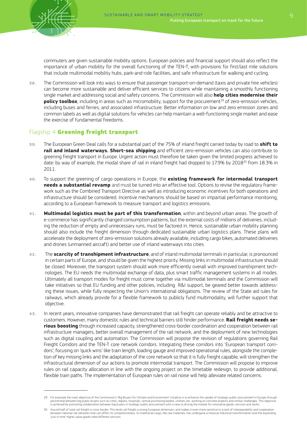commuters are given sustainable mobility options. European policies and financial support should also reflect the importance of urban mobility for the overall functioning of the TEN-T, with provisions for first/last mile solutions that include multimodal mobility hubs, park-and-ride facilities, and safe infrastructure for walking and cycling.

38. The Commission will look into ways to ensure that passenger transport-on-demand (taxis and private hire vehicles) can become more sustainable and deliver efficient services to citizens while maintaining a smoothly functioning single market and addressing social and safety concerns. The Commission will also **help cities modernise their policy toolbox**, including in areas such as micromobility, support for the procurement<sup>29</sup> of zero-emission vehicles, including buses and ferries, and associated infrastructure. Better information on low and zero emission zones and common labels as well as digital solutions for vehicles can help maintain a well-functioning single market and ease the exercise of fundamental freedoms.

#### Flagship 4 Greening freight transport

- 39. The European Green Deal calls for a substantial part of the 75% of inland freight carried today by road to **shift to rail and inland waterways. Short-sea shipping** and efficient zero-emission vehicles can also contribute to greening freight transport in Europe. Urgent action must therefore be taken given the limited progress achieved to date: by way of example, the modal share of rail in inland freight had dropped to 17.9% by 2018<sup>30</sup> from 18.3% in 2011.
- 40. To support the greening of cargo operations in Europe, the **existing framework for intermodal transport needs a substantial revamp** and must be turned into an effective tool. Options to revise the regulatory framework such as the Combined Transport Directive as well as introducing economic incentives for both operations and infrastructure should be considered. Incentive mechanisms should be based on impartial performance monitoring, according to a European framework to measure transport and logistics emissions.
- 41. **Multimodal logistics must be part of this transformation**, within and beyond urban areas. The growth of e-commerce has significantly changed consumption patterns, but the external costs of millions of deliveries, including the reduction of empty and unnecessary runs, must be factored in. Hence, sustainable urban mobility planning should also include the freight dimension through dedicated sustainable urban logistics plans. These plans will accelerate the deployment of zero-emission solutions already available, including cargo bikes, automated deliveries and drones (unmanned aircraft) and better use of inland waterways into cities.
- 42. The **scarcity of transhipment infrastructure**, and of inland multimodal terminals in particular, is pronounced in certain parts of Europe, and should be given the highest priority. Missing links in multimodal infrastructure should be closed. Moreover, the transport system should work more efficiently overall with improved transhipment technologies. The EU needs the multimodal exchange of data, plus smart traffic management systems in all modes. Ultimately all transport modes for freight must come together via multimodal terminals and the Commission will take initiatives so that EU funding and other policies, including R&I support, be geared better towards addressing these issues, while fully respecting the Union's international obligations. The review of the State aid rules for railways, which already provide for a flexible framework to publicly fund multimodality, will further support that objective.
- 43. In recent years, innovative companies have demonstrated that rail freight can operate reliably and be attractive to customers. However, many domestic rules and technical barriers still hinder performance. **Rail freight needs serious boosting** through increased capacity, strengthened cross-border coordination and cooperation between rail infrastructure managers, better overall management of the rail network, and the deployment of new technologies such as digital coupling and automation. The Commission will propose the revision of regulations governing Rail Freight Corridors and the TEN-T core network corridors. Integrating these corridors into 'European transport corridors', focusing on 'quick wins' like train length, loading gauge and improved operational rules, alongside the completion of key missing links and the adaptation of the core network so that it is fully freight capable, will strengthen the infrastructural dimension of our actions to promote intermodal transport. The Commission will propose to improve rules on rail capacity allocation in line with the ongoing project on the timetable redesign, to provide additional, flexible train paths. The implementation of European rules on rail noise will help alleviate related concerns.

<sup>29</sup> For example the main objective of the Commission's 'Big Buyers for Climate and Environment' initiative is to enhance the uptake of strategic public procurement in Europe through partnership between big public buyers such as cities, regions, hospitals, central purchasing bodies, utilities, etc. working on concrete projects and similar challenges. This objective is achieved by promoting collaboration between big buyers in strategic public procurement with a view to driving the market for innovative goods, services and works.

<sup>30</sup> Around half of total rail freight is cross-border. This lends rail freight a strong European dimension, and makes it even more sensitive to a lack of interoperability and cooperation between national rail networks that can affect its competitiveness. Its traditional cargo, like raw materials, has undergone a massive industrial transformation and the expanding 'just in time' higher value goods need different services.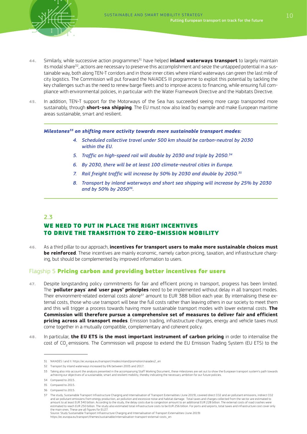

- 44. Similarly, while successive action programmes<sup>31</sup> have helped **inland waterways transport** to largely maintain its modal share<sup>32</sup>, actions are necessary to preserve this accomplishment and seize the untapped potential in a sustainable way, both along TEN-T corridors and in those inner cities where inland waterways can green the last mile of city logistics. The Commission will put forward the NAIADES III programme to exploit this potential by tackling the key challenges such as the need to renew barge fleets and to improve access to financing, while ensuring full compliance with environmental policies, in particular with the Water Framework Directive and the Habitats Directive.
- 45. In addition, TEN-T support for the Motorways of the Sea has succeeded seeing more cargo transported more sustainably, through **short-sea shipping**. The EU must now also lead by example and make European maritime areas sustainable, smart and resilient.

*Milestones33 on shifting more activity towards more sustainable transport modes:*

- *4. Scheduled collective travel under 500 km should be carbon-neutral by 2030 within the EU.*
- *5. Traffic on high-speed rail will double by 2030 and triple by 2050.34*
- *6. By 2030, there will be at least 100 climate-neutral cities in Europe.*
- *7. Rail freight traffic will increase by 50% by 2030 and double by 2050.35*
- *8. Transport by inland waterways and short sea shipping will increase by 25% by 2030 and by 50% by 205036.*

#### 2.3

#### WE NEED TO PUT IN PLACE THE RIGHT INCENTIVES TO DRIVE THE TRANSITION TO ZERO-EMISSION MOBILITY

46. As a third pillar to our approach, **incentives for transport users to make more sustainable choices must be reinforced**. These incentives are mainly economic, namely carbon pricing, taxation, and infrastructure charging, but should be complemented by improved information to users.

#### Flagship 5 Pricing carbon and providing better incentives for users

- 47. Despite longstanding policy commitments for fair and efficient pricing in transport, progress has been limited. The '**polluter pays**' **and** '**user pays' principles** need to be implemented without delay in all transport modes. Their environment-related external costs alone<sup>37</sup> amount to EUR 388 billion each year. By internalising these external costs, those who use transport will bear the full costs rather than leaving others in our society to meet them and this will trigger a process towards having more sustainable transport modes with lower external costs. **The Commission will therefore pursue a comprehensive set of measures to deliver fair and efficient pricing across all transport modes**. Emission trading, infrastructure charges, energy and vehicle taxes must come together in a mutually compatible, complementary and coherent policy.
- 48. In particular, **the EU ETS is the most important instrument of carbon pricing** in order to internalise the cost of CO<sub>2</sub> emissions. The Commission will propose to extend the EU Emission Trading System (EU ETS) to the

<sup>31</sup> NAIADES I and II. https://ec.europa.eu/transport/modes/inland/promotion/naiades2\_en

<sup>32</sup> Transport by inland waterways increased by 6% between 2005 and 2017.

Taking also into account the analysis presented in the accompanying Staff Working Document, these milestones are set out to show the European transport system's path towards<br>achieving our objectives of a sustainable, smart

<sup>34</sup> Compared to 2015.

<sup>35</sup> Compared to 2015.

<sup>36</sup> Compared to 2015.

<sup>37</sup> The study, Sustainable Transport Infrastructure Charging and Internalisation of Transport Externalities (June 2019), covered direct CO2 and air pollutant emissions, indirect CO2 and air pollutant emissions from energy production, air pollution and excessive noise and habitat damage. Total taxes and charges collected from the sector are estimated to<br>amount to at least EUR 340 billion. According to estimated to reach EUR 250 billion. The study also estimated total infrastructure costs to be EUR 256 billion. For ports and airports, total taxes and infrastructure cost cover only the main ones. These are all figures for EU27.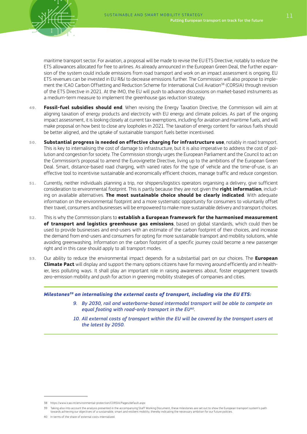

maritime transport sector. For aviation, a proposal will be made to revise the EU ETS Directive, notably to reduce the ETS allowances allocated for free to airlines. As already announced in the European Green Deal, the further expansion of the system could include emissions from road transport and work on an impact assessment is ongoing. EU ETS revenues can be invested in EU R&I to decrease emissions further. The Commission will also propose to implement the ICAO Carbon Offsetting and Reduction Scheme for International Civil Aviation<sup>38</sup> (CORSIA) through revision of the ETS Directive in 2021. At the IMO, the EU will push to advance discussions on market-based instruments as a medium-term measure to implement the greenhouse gas reduction strategy.

- 49. **Fossil-fuel subsidies should end**. When revising the Energy Taxation Directive, the Commission will aim at aligning taxation of energy products and electricity with EU energy and climate policies. As part of the ongoing impact assessment, it is looking closely at current tax exemptions, including for aviation and maritime fuels, and will make proposal on how best to close any loopholes in 2021. The taxation of energy content for various fuels should be better aligned, and the uptake of sustainable transport fuels better incentivised.
- 50. **Substantial progress is needed on effective charging for infrastructure use**, notably in road transport. This is key to internalising the cost of damage to infrastructure, but it is also imperative to address the cost of pollution and congestion for society. The Commission strongly urges the European Parliament and the Council to act on the Commission's proposal to amend the Eurovignette Directive, living up to the ambitions of the European Green Deal. Smart, distance-based road charging, with varied rates for the type of vehicle and the time-of-use, is an effective tool to incentivise sustainable and economically efficient choices, manage traffic and reduce congestion.
- 51. Currently, neither individuals planning a trip, nor shippers/logistics operators organising a delivery, give sufficient consideration to environmental footprint. This is partly because they are not given the **right information**, including on available alternatives. **The most sustainable choice should be clearly indicated**. With adequate information on the environmental footprint and a more systematic opportunity for consumers to voluntarily offset their travel, consumers and businesses will be empowered to make more sustainable delivery and transport choices.
- 52. This is why the Commission plans to **establish a European framework for the harmonised measurement of transport and logistics greenhouse gas emissions**, based on global standards, which could then be used to provide businesses and end-users with an estimate of the carbon footprint of their choices, and increase the demand from end-users and consumers for opting for more sustainable transport and mobility solutions, while avoiding greenwashing. Information on the carbon footprint of a specific journey could become a new passenger right and in this case should apply to all transport modes.
- 53. Our ability to reduce the environmental impact depends for a substantial part on our choices. The **European Climate Pact** will display and support the many options citizens have for moving around efficiently and in healthier, less polluting ways. It shall play an important role in raising awareness about, foster engagement towards zero-emission mobility and push for action in greening mobility strategies of companies and cities.

#### *Milestones39 on internalising the external costs of transport, including via the EU ETS:*

- *9. By 2030, rail and waterborne-based intermodal transport will be able to compete on equal footing with road-only transport in the EU40.*
- *10. All external costs of transport within the EU will be covered by the transport users at the latest by 2050.*

<sup>38</sup> https://www.icao.int/environmental-protection/CORSIA/Pages/default.aspx

<sup>39</sup> Taking also into account the analysis presented in the accompanying Staff Working Document, these milestones are set out to show the European transport system's path towards achieving our objectives of a sustainable, smart and resilient mobility, thereby indicating the necessary ambition for our future policies.

<sup>40</sup> In terms of the share of external costs internalized.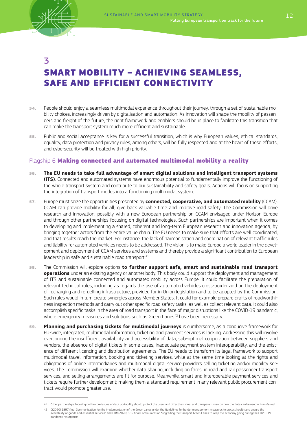

# 3 SMART MOBILITY – ACHIEVING SEAMLESS, SAFE AND EFFICIENT CONNECTIVITY

- 54. People should enjoy a seamless multimodal experience throughout their journey, through a set of sustainable mobility choices, increasingly driven by digitalisation and automation. As innovation will shape the mobility of passengers and freight of the future, the right framework and enablers should be in place to facilitate this transition that can make the transport system much more efficient and sustainable.
- 55. Public and social acceptance is key for a successful transition, which is why European values, ethical standards, equality, data protection and privacy rules, among others, will be fully respected and at the heart of these efforts, and cybersecurity will be treated with high priority.

#### Flagship 6 Making connected and automated multimodal mobility a reality

- 56. **The EU needs to take full advantage of smart digital solutions and intelligent transport systems (ITS)**. Connected and automated systems have enormous potential to fundamentally improve the functioning of the whole transport system and contribute to our sustainability and safety goals. Actions will focus on supporting the integration of transport modes into a functioning multimodal system.
- 57. Europe must seize the opportunities presented by **connected, cooperative, and automated mobility** (CCAM). CCAM can provide mobility for all, give back valuable time and improve road safety. The Commission will drive research and innovation, possibly with a new European partnership on CCAM envisaged under Horizon Europe and through other partnerships focusing on digital technologies. Such partnerships are important when it comes to developing and implementing a shared, coherent and long-term European research and innovation agenda, by bringing together actors from the entire value chain. The EU needs to make sure that efforts are well coordinated, and that results reach the market. For instance, the lack of harmonisation and coordination of relevant traffic rules and liability for automated vehicles needs to be addressed. The vision is to make Europe a world leader in the development and deployment of CCAM services and systems and thereby provide a significant contribution to European leadership in safe and sustainable road transport.<sup>41</sup>
- 58. The Commission will explore options **to further support safe, smart and sustainable road transport operations** under an existing agency or another body. This body could support the deployment and management of ITS and sustainable connected and automated mobility across Europe. It could facilitate the preparation of relevant technical rules, including as regards the use of automated vehicles cross-border and on the deployment of recharging and refuelling infrastructure, provided for in Union legislation and to be adopted by the Commission. Such rules would in turn create synergies across Member States. It could for example prepare drafts of roadworthiness inspection methods and carry out other specific road safety tasks, as well as collect relevant data. It could also accomplish specific tasks in the area of road transport in the face of major disruptions like the COVID-19 pandemic, where emergency measures and solutions such as Green Lanes<sup>42</sup> have been necessary.
- 59. **Planning and purchasing tickets for multimodal journeys** is cumbersome, as a conducive framework for EU-wide, integrated, multimodal information, ticketing and payment services is lacking. Addressing this will involve overcoming the insufficient availability and accessibility of data, sub-optimal cooperation between suppliers and vendors, the absence of digital tickets in some cases, inadequate payment system interoperability, and the existence of different licencing and distribution agreements. The EU needs to transform its legal framework to support multimodal travel information, booking and ticketing services, while at the same time looking at the rights and obligations of online intermediaries and multimodal digital service providers selling ticketing and/or mobility services. The Commission will examine whether data sharing, including on fares, in road and rail passenger transport services, and selling arrangements are fit for purpose. Meanwhile, smart and interoperable payment services and tickets require further development; making them a standard requirement in any relevant public procurement contract would promote greater use.

<sup>41</sup> Other partnerships focusing on the core issues of data portability should protect the users and offer them clear and transparent view on how the data can be used or transferred.

<sup>42</sup> C(2020) 1897 final Communication "on the implementation of the Green Lanes under the Guidelines for border management measures to protect health and ensure the availability of goods and essential services" and COM(2020) 685 final Communication "upgrading the transport Green Lanes to keep the economy going during the COVID-19 pandemic resurgence"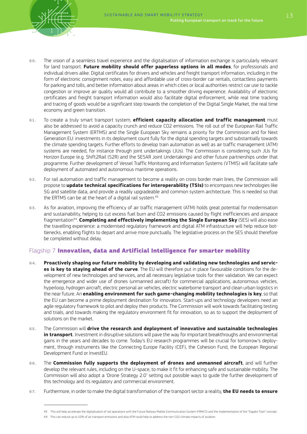

- 60. The vision of a seamless travel experience and the digitalisation of information exchange is particularly relevant for land transport. **Future mobility should offer paperless options in all modes**, for professionals and individual drivers alike. Digital certificates for drivers and vehicles and freight transport information, including in the form of electronic consignment notes, easy and affordable use of cross-border car rentals, contactless payments for parking and tolls, and better information about areas in which cities or local authorities restrict car use to tackle congestion or improve air quality would all contribute to a smoother driving experience. Availability of electronic certificates and freight transport information would also facilitate digital enforcement, while real time tracking and tracing of goods would be a significant step towards the completion of the Digital Single Market, the real time economy and green transition.
- 61. To create a truly smart transport system, **efficient capacity allocation and traffic management** must also be addressed to avoid a capacity crunch and reduce CO2 emissions. The roll out of the European Rail Traffic Management System (ERTMS) and the Single European Sky remains a priority for the Commission and for Next Generation EU: investments in its deployment count fully for the digital spending targets and substantially towards the climate spending targets. Further efforts to develop train automation as well as air traffic management (ATM) systems are needed, for instance through joint undertakings (JUs). The Commission is considering such JUs for Horizon Europe (e.g. Shift2Rail (S2R) and the SESAR Joint Undertakings) and other future partnerships under that programme. Further development of Vessel Traffic Monitoring and Information Systems (VTMIS) will facilitate safe deployment of automated and autonomous maritime operations.
- 62. For rail automation and traffic management to become a reality on cross border main lines, the Commission will propose to **update technical specifications for interoperability (TSIs)** to encompass new technologies like 5G and satellite data, and provide a readily upgradeable and common system architecture. This is needed so that the ERTMS can be at the heart of a digital rail system.<sup>43</sup>
- 63. As for aviation, improving the efficiency of air traffic management (ATM) holds great potential for modernisation and sustainability, helping to cut excess fuel burn and CO2 emissions caused by flight inefficiencies and airspace fragmentation44. **Completing and effectively implementing the Single European Sky** (SES) will also ease the travelling experience: a modernised regulatory framework and digital ATM infrastructure will help reduce bottlenecks, enabling flights to depart and arrive more punctually. The legislative process on the SES should therefore be completed without delay.

#### Flagship 7 Innovation, data and Artificial Intelligence for smarter mobility

- 64. **Proactively shaping our future mobility by developing and validating new technologies and services is key to staying ahead of the curve**. The EU will therefore put in place favourable conditions for the development of new technologies and services, and all necessary legislative tools for their validation. We can expect the emergence and wider use of drones (unmanned aircraft) for commercial applications, autonomous vehicles, hyperloop, hydrogen aircraft, electric personal air vehicles, electric waterborne transport and clean urban logistics in the near future. An **enabling environment for such game-changing mobility technologies is key**, so that the EU can become a prime deployment destination for innovators. Start-ups and technology developers need an agile regulatory framework to pilot and deploy their products. The Commission will work towards facilitating testing and trials, and towards making the regulatory environment fit for innovation, so as to support the deployment of solutions on the market.
- 65. The Commission will **drive the research and deployment of innovative and sustainable technologies in transport**. Investment in disruptive solutions will pave the way for important breakthroughs and environmental gains in the years and decades to come. Today's EU research programmes will be crucial for tomorrow's deployment, through instruments like the Connecting Europe Facility (CEF), the Cohesion Fund, the European Regional Development Fund or InvestEU.
- 66. The **Commission fully supports the deployment of drones and unmanned aircraft**, and will further develop the relevant rules, including on the U-space, to make it fit for enhancing safe and sustainable mobility. The Commission will also adopt a 'Drone Strategy 2.0' setting out possible ways to guide the further development of this technology and its regulatory and commercial environment.
- 67. Furthermore, in order to make the digital transformation of the transport sector a reality, **the EU needs to ensure**

<sup>43</sup> This will help accelerate the digitalisation of rail operations with the Future Railway Mobile Communication System (FRMCS) and the implementation of the "Gigabit Train" concept.

<sup>44</sup> This can reduce up to 10% of air transport emissions and also ATM could help to address the non-CO2 climate impacts of aviation.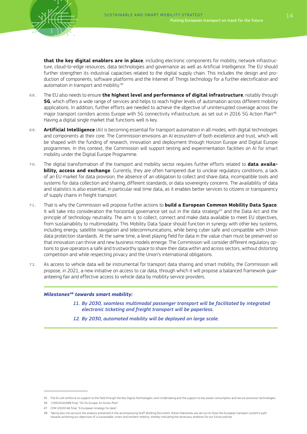**that the key digital enablers are in place**, including electronic components for mobility, network infrastructure, cloud-to-edge resources, data technologies and governance as well as Artificial Intelligence. The EU should further strengthen its industrial capacities related to the digital supply chain. This includes the design and production of components, software platforms and the Internet of Things technology for a further electrification and automation in transport and mobility.<sup>45</sup>

- 68. The EU also needs to ensure **the highest level and performance of digital infrastructure**, notably through **5G**, which offers a wide range of services and helps to reach higher levels of automation across different mobility applications. In addition, further efforts are needed to achieve the objective of uninterrupted coverage across the major transport corridors across Europe with 5G connectivity infrastructure, as set out in 2016 5G Action Plan<sup>46</sup>. Having a digital single market that functions well is key.
- 69. **Artificial Intelligence** (AI) is becoming essential for transport automation in all modes, with digital technologies and components at their core. The Commission envisions an AI ecosystem of both excellence and trust, which will be shaped with the funding of research, innovation and deployment through Horizon Europe and Digital Europe programmes. In this context, the Commission will support testing and experimentation facilities on AI for smart mobility under the Digital Europe Programme.
- 70. The digital transformation of the transport and mobility sector requires further efforts related to **data availability, access and exchange**. Currently, they are often hampered due to unclear regulatory conditions, a lack of an EU market for data provision, the absence of an obligation to collect and share data, incompatible tools and systems for data collection and sharing, different standards, or data sovereignty concerns. The availability of data and statistics is also essential, in particular real time data, as it enables better services to citizens or transparency of supply chains in freight transport.
- 71. That is why the Commission will propose further actions to **build a European Common Mobility Data Space**. It will take into consideration the horizontal governance set out in the data strategy<sup>47</sup> and the Data Act and the principle of technology neutrality. The aim is to collect, connect and make data available to meet EU objectives, from sustainability to multimodality. This Mobility Data Space should function in synergy with other key systems, including energy, satellite navigation and telecommunications, while being cyber safe and compatible with Union data protection standards. At the same time, a level playing field for data in the value chain must be preserved so that innovation can thrive and new business models emerge. The Commission will consider different regulatory options to give operators a safe and trustworthy space to share their data within and across sectors, without distorting competition and while respecting privacy and the Union's international obligations.
- 72. As access to vehicle data will be instrumental for transport data sharing and smart mobility, the Commission will propose, in 2021, a new initiative on access to car data, through which it will propose a balanced framework guaranteeing fair and effective access to vehicle data by mobility service providers.

#### *Milestones48 towards smart mobility:*

- *11. By 2030, seamless multimodal passenger transport will be facilitated by integrated electronic ticketing and freight transport will be paperless.*
- *12. By 2030, automated mobility will be deployed on large scale.*

<sup>45</sup> The EU will reinforce its support to the field through the Key Digital Technologies Joint Undertaking and the support to low power consumption and secure processor technologies.

<sup>46</sup> COM(2016)588 final, "5G for Europe: An Action Plan"

<sup>47</sup> COM (2020) 66 final, "A European strategy for data"

<sup>48</sup> Taking also into account the analysis presented in the accompanying Staff Working Document, these milestones are set out to show the European transport system's path<br>towards achieving our objectives of a sustainable, sm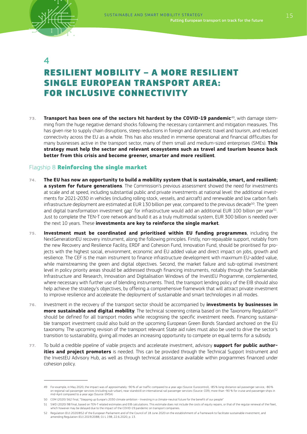

 $\boldsymbol{\Lambda}$ 

# RESILIENT MOBILITY – A MORE RESILIENT SINGLE EUROPEAN TRANSPORT AREA: FOR INCLUSIVE CONNECTIVITY

73. **Transport has been one of the sectors hit hardest by the COVID-19 pandemic**49, with damage stemming from the huge negative demand shocks following the necessary containment and mitigation measures. This has given rise to supply chain disruptions, steep reductions in foreign and domestic travel and tourism, and reduced connectivity across the EU as a whole. This has also resulted in immense operational and financial difficulties for many businesses active in the transport sector, many of them small and medium-sized enterprises (SMEs). **This strategy must help the sector and relevant ecosystems such as travel and tourism bounce back better from this crisis and become greener, smarter and more resilient**.

#### Flagship 8 Reinforcing the single market

- 74. **The EU has now an opportunity to build a mobility system that is sustainable, smart, and resilient: a system for future generations**. The Commission's previous assessment showed the need for investments at scale and at speed, including substantial public and private investments at national level: the additional investments for 2021-2030 in vehicles (including rolling stock, vessels, and aircraft) and renewable and low carbon fuels infrastructure deployment are estimated at EUR 130 billion per year, compared to the previous decade<sup>50</sup>. The 'green and digital transformation investment gap' for infrastructure would add an additional EUR 100 billion per year<sup>51</sup>. Just to complete the TEN-T core network and build it as a truly multimodal system, EUR 300 billion is needed over the next 10 years. These **investments are key to reinforce the single market**.
- 75. **Investment must be coordinated and prioritised within EU funding programmes**, including the NextGenerationEU recovery instrument, along the following principles. Firstly, non-repayable support, notably from the new Recovery and Resilience Facility, ERDF and Cohesion Fund, Innovation Fund, should be prioritised for projects with the highest social, environment, economic and EU added value and direct impact on jobs, growth and resilience. The CEF is the main instrument to finance infrastructure development with maximum EU-added value, while mainstreaming the green and digital objectives. Second, the market failure and sub-optimal investment level in policy priority areas should be addressed through financing instruments, notably through the Sustainable Infrastructure and Research, Innovation and Digitalisation Windows of the InvestEU Programme, complemented, where necessary with further use of blending instruments. Third, the transport lending policy of the EIB should also help achieve the strategy's objectives, by offering a comprehensive framework that will attract private investment to improve resilience and accelerate the deployment of sustainable and smart technologies in all modes.
- 76. Investment in the recovery of the transport sector should be accompanied by **investments by businesses in more sustainable and digital mobility**. The technical screening criteria based on the Taxonomy Regulation<sup>52</sup> should be defined for all transport modes while recognising the specific investment needs. Financing sustainable transport investment could also build on the upcoming European Green Bonds Standard anchored on the EU taxonomy. The upcoming revision of the transport relevant State aid rules must also be used to drive the sector's transition to sustainability, giving all modes an increasing opportunity to compete on equal terms for a subsidy.
- 77. To build a credible pipeline of viable projects and accelerate investment, advisory **support for public authorities and project promoters** is needed. This can be provided through the Technical Support Instrument and the InvestEU Advisory Hub, as well as through technical assistance available within programmes financed under cohesion policy.

<sup>49</sup> For example, in May 2020, the impact was of approximately -90% of air traffic compared to a year ago (Source: Eurocontrol), -85% long-distance rail passenger service, -80% on regional rail passenger services (including sub-urban), near standstill on international rail passenger services (Source: CER); more than -90 % for cruise and passenger ships in mid-April compared to a year ago (Source: EMSA)

<sup>50</sup> COM (2020) 562 final, "Stepping up Europe's 2030 climate ambition - Investing in a climate-neutral future for the benefit of our people"

<sup>51</sup> SWD (2020) 98 final, based on TEN-T related estimates and EIB calculations. This estimate does not include the costs of equity repairs, or that of the regular renewal of the fleet, which however may be delayed due to the impact of the COVID-19 pandemic on transport companies.

<sup>52</sup> Regulation (EU) 2020/852 of the European Parliament and of the Council of 18 June 2020 on the establishment of a framework to facilitate sustainable investment, and amending Regulation (EU) 2019/2088, OJ L 198, 22.6.2020, p. 13.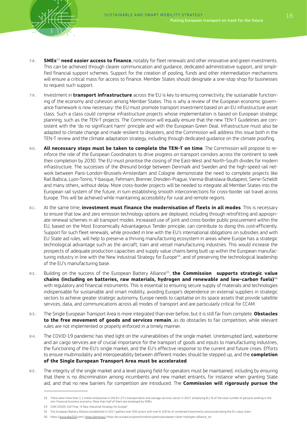

- 78. **SMEs**<sup>53</sup> **need easier access to finance**, notably for fleet renewals and other innovative and green investments. This can be achieved through clearer communication and guidance, dedicated administrative support, and simplified financial support schemes. Support for the creation of pooling, funds and other intermediation mechanisms will ensure a critical mass for access to finance. Member States should designate a one-stop shop for businesses to request such support.
- 79. Investment in **transport infrastructure** across the EU is key to ensuring connectivity, the sustainable functioning of the economy and cohesion among Member States. This is why a review of the European economic governance framework is now necessary: the EU must promote transport investment based on an EU infrastructure asset class. Such a class could comprise infrastructure projects whose implementation is based on European strategic planning, such as the TEN-T projects. The Commission will equally ensure that the new TEN-T Guidelines are consistent with the 'do no significant harm' principle and with the European Green Deal. Infrastructure must also be adapted to climate change and made resilient to disasters, and the Commission will address this issue both in the TEN-T review and the climate adaptation strategy, including through dedicated guidance on the climate proofing.
- 80. **All necessary steps must be taken to complete the TEN-T on time**. The Commission will propose to reinforce the role of the European Coordinators to drive progress on transport corridors across the continent to seek their completion by 2030. The EU must prioritise the closing of the East-West and North-South divides for modern infrastructure. The successes of the Øresund bridge between Denmark and Sweden and the high-speed rail network between Paris-London-Brussels-Amsterdam and Cologne demonstrate the need to complete projects like Rail Baltica, Lyon-Torino, Y-basque, Fehmarn, Brenner, Dresden-Prague, Vienna-Bratislava-Budapest, Seine-Scheldt and many others, without delay. More cross-border projects will be needed to integrate all Member States into the European rail system of the future, in turn establishing smooth interconnections for cross-border rail travel across Europe. This will be achieved while maintaining accessibility for rural and remote regions.
- 81. At the same time, **investment must finance the modernisation of fleets in all modes**. This is necessary to ensure that low and zero emission technology options are deployed, including through retrofitting and appropriate renewal schemes in all transport modes. Increased use of joint and cross-border public procurement within the EU, based on the Most Economically Advantageous Tender principle, can contribute to doing this cost-efficiently. Support for such fleet renewals, while provided in line with the EU's international obligations on subsidies and with EU State aid rules, will help to preserve a thriving manufacturing ecosystem in areas where Europe has a strategic technological advantage such as the aircraft, train and vessel manufacturing industries. This would increase the prospects of adequate production capacities and supply value chains being built up within the European manufacturing industry in line with the New Industrial Strategy for Europe<sup>54</sup>, and of preserving the technological leadership of the EU's manufacturing base.
- 82. Building on the success of the European Battery Alliance<sup>55</sup>, the Commission supports strategic value **chains (including on batteries, raw materials, hydrogen and renewable and low-carbon fuels)**<sup>56</sup> with regulatory and financial instruments. This is essential to ensuring secure supply of materials and technologies indispensable for sustainable and smart mobility, avoiding Europe's dependence on external suppliers in strategic sectors to achieve greater strategic autonomy. Europe needs to capitalise on its space assets that provide satellite services, data, and communications across all modes of transport and are particularly critical for CCAM.
- 83. The Single European Transport Area is more integrated than ever before, but it is still far from complete. **Obstacles to the free movement of goods and services remain**, as do obstacles to fair competition, while relevant rules are not implemented or properly enforced in a timely manner.
- 84. The COVID-19 pandemic has shed light on the vulnerabilities of the single market. Uninterrupted land, waterborne and air cargo services are of crucial importance for the transport of goods and inputs to manufacturing industries, the functioning of the EU's single market, and the EU's effective response to the current and future crises. Efforts to ensure multimodality and interoperability between different modes should be stepped up, and the **completion of the Single European Transport Area must be accelerated**.
- 85. The integrity of the single market and a level playing field for operators must be maintained, including by ensuring that there is no discrimination among incumbents and new market entrants, for instance when granting State aid, and that no new barriers for competition are introduced. The **Commission will rigorously pursue the**

56 https://www.eba250.com/; https://erma.eu/; https://ec.europa.eu/growth/industry/policy/european-clean-hydrogen-alliance\_en

<sup>53</sup> There were more than 1.1 million enterprises in the EU-27's transportation and storage services sector in 2017, employing 8.1 % of the total number of persons working in the non-financial business economy. More than half of them are employed by SMEs.

<sup>54</sup> COM (2020) 102 final, "A New Industrial Strategy for Europe"

<sup>55</sup> The European Battery Alliance established in 2017 gathers over 500 actors with over € 100 bn of combined investments announced along the EU value chain.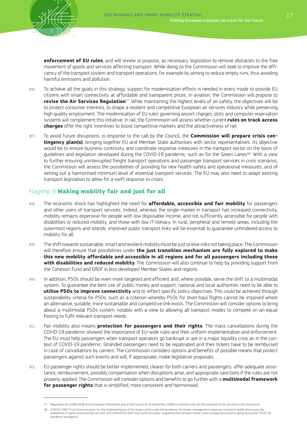**enforcement of EU rules**, and will review or propose, as necessary, legislation to remove obstacles to the free movement of goods and services affecting transport. While doing so the Commission will seek to improve the efficiency of the transport system and transport operations, for example by aiming to reduce empty runs, thus avoiding harmful emissions and pollution.

- 86. To achieve all the goals in this strategy, support for modernisation efforts is needed in every mode to provide EU citizens with smart connectivity at affordable and transparent prices. In aviation, the Commission will propose to **revise the Air Services Regulation**<sup>57</sup>. While maintaining the highest levels of air safety, the objectives will be to protect consumer interests, to shape a resilient and competitive European air services industry while preserving high quality employment. The modernisation of EU rules governing airport charges, slots and computer reservation systems will complement this initiative. In rail, the Commission will assess whether current **rules on track access charges** offer the right incentives to boost competitive markets and the attractiveness of rail.
- 87. To avoid future disruptions, in response to the call by the Council, the **Commission will prepare crisis contingency plan(s)**, bringing together EU and Member State authorities with sector representatives. Its objective would be to ensure business continuity, and coordinate response measures in the transport sector on the basis of guidelines and legislation developed during the COVID-19 pandemic, such as for the Green Lanes<sup>58</sup>. With a view to further ensuring uninterrupted freight transport operations and passenger transport services in crisis scenarios, the Commission will assess the possibilities of providing for new health-safety and operational measures, and of setting out a harmonised minimum level of essential transport services. The EU may also need to adapt existing transport legislation to allow for a swift response to crises.

### Flagship 9 Making mobility fair and just for all

- 88. The economic shock has highlighted the need for **affordable, accessible and fair mobility** for passengers and other users of transport services. Indeed, whereas the single market in transport has increased connectivity, mobility remains expensive for people with low disposable income, and not sufficiently accessible for people with disabilities or reduced mobility, and those with low IT-literacy. In rural, peripheral and remote areas, including the outermost regions and islands, improved public transport links will be essential to guarantee unhindered access to mobility for all.
- 89. The shift towards sustainable, smart and resilient mobility must be just or else risks not taking place. The Commission will therefore ensure that possibilities under **the just transition mechanism are fully explored to make this new mobility affordable and accessible in all regions and for all passengers including those with disabilities and reduced mobility**. The Commission will also continue to help by providing support from the Cohesion Fund and ERDF in less developed Member States and regions.
- 90. In addition, PSOs should be even more targeted and efficient and, where possible, serve the shift to a multimodal system. To guarantee the best use of public money and support, national and local authorities need to be able to **utilise PSOs to improve connectivity** and to reflect specific policy objectives. This could be achieved through sustainability criteria for PSOs, such as a criterion whereby PSOs for short-haul flights cannot be imposed where an alternative, suitable, more sustainable and competitive link exists. The Commission will consider options to bring about a multimodal PSOs system, notably with a view to allowing all transport modes to compete on an equal footing to fulfil relevant transport needs.
- 91. Fair mobility also means **protection for passengers and their rights**. The mass cancellations during the COVID-19 pandemic showed the importance of EU-wide rules and their uniform implementation and enforcement. The EU must help passengers when transport operators go bankrupt or are in a major liquidity crisis as in the context of COVID-19 pandemic. Stranded passengers need to be repatriated and their tickets have to be reimbursed in case of cancellations by carriers. The Commission considers options and benefits of possible means that protect passengers against such events and will, if appropriate, make legislative proposals.
- 92. EU passenger rights should be better implemented, clearer for both carriers and passengers, offer adequate assistance, reimbursement, possibly compensation when disruptions arise, and appropriate sanctions if the rules are not properly applied. The Commission will consider options and benefits to go further with a **multimodal framework for passenger rights** that is simplified, more consistent and harmonised.

<sup>57</sup> Regulation No 1008/2008 of the European Parliament and of the Council of 24 September 2008 on common rules for the operation of air services in the Community

<sup>58</sup> C(2020) 1897 final Communication "on the implementation of the Green Lanes under the Guidelines for border management measures to protect health and ensure the availability of goods and essential services" and COM(2020) 685 final Communication "upgrading the transport Green Lanes to keep the economy going during the COVID-19 pandemic resurgence"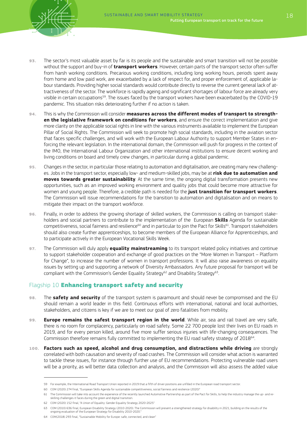

- 93. The sector's most valuable asset by far is its people and the sustainable and smart transition will not be possible without the support and buy-in of **transport workers**. However, certain parts of the transport sector often suffer from harsh working conditions. Precarious working conditions, including long working hours, periods spent away from home and low paid work, are exacerbated by a lack of respect for, and proper enforcement of, applicable labour standards. Providing higher social standards would contribute directly to reverse the current general lack of attractiveness of the sector. The workforce is rapidly ageing and significant shortages of labour force are already very visible in certain occupations<sup>59</sup>. The issues faced by the transport workers have been exacerbated by the COVID-19 pandemic. This situation risks deteriorating further if no action is taken.
- 94. This is why the Commission will consider **measures across the different modes of transport to strengthen the legislative framework on conditions for workers**, and ensure the correct implementation and give more clarity on the applicable social rights in line with the various instruments available to implement the European Pillar of Social Rights. The Commission will seek to promote high social standards, including in the aviation sector that faces specific challenges, and will work with the European Labour Authority to support Member States in enforcing the relevant legislation. In the international domain, the Commission will push for progress in the context of the IMO, the International Labour Organization and other international institutions to ensure decent working and living conditions on board and timely crew changes, in particular during a global pandemic.
- 95. Changes in the sector, in particular those relating to automation and digitalisation, are creating many new challenges. Jobs in the transport sector, especially low- and medium-skilled jobs, may be at **risk due to automation and moves towards greater sustainability**. At the same time, the ongoing digital transformation presents new opportunities, such as an improved working environment and quality jobs that could become more attractive for women and young people. Therefore, a credible path is needed for the **just transition for transport workers**. The Commission will issue recommendations for the transition to automation and digitalisation and on means to mitigate their impact on the transport workforce.
- 96. Finally, in order to address the growing shortage of skilled workers, the Commission is calling on transport stakeholders and social partners to contribute to the implementation of the European **Skills** Agenda for sustainable competitiveness, social fairness and resilience<sup>60</sup> and in particular to join the Pact for Skills<sup>61</sup>. Transport stakeholders should also create further apprenticeships, to become members of the European Alliance for Apprenticeships, and to participate actively in the European Vocational Skills Week.
- 97. The Commission will duly apply **equality mainstreaming** to its transport related policy initiatives and continue to support stakeholder cooperation and exchange of good practices on the "More Women in Transport – Platform for Change", to increase the number of women in transport professions. It will also raise awareness on equality issues by setting up and supporting a network of Diversity Ambassadors. Any future proposal for transport will be compliant with the Commission's Gender Equality Strategy<sup>62</sup> and Disability Strategy<sup>63</sup>.

#### Flagship 10 **Enhancing transport safety and security**

- 98. The **safety and security** of the transport system is paramount and should never be compromised and the EU should remain a world leader in this field. Continuous efforts with international, national and local authorities, stakeholders, and citizens is key if we are to meet our goal of zero fatalities from mobility.
- 99. **Europe remains the safest transport region in the world**. While air, sea and rail travel are very safe, there is no room for complacency, particularly on road safety. Some 22 700 people lost their lives on EU roads in 2019, and for every person killed, around five more suffer serious injuries with life-changing consequences. The Commission therefore remains fully committed to implementing the EU road safety strategy of 201864.
- 100. **Factors such as speed, alcohol and drug consumption, and distractions while driving** are strongly correlated with both causation and severity of road crashes. The Commission will consider what action is warranted to tackle these issues, for instance through further use of EU recommendations. Protecting vulnerable road users will be a priority, as will better data collection and analysis, and the Commission will also assess the added value

<sup>59</sup> For example, the International Road Transport Union reported in 2019 that a fifth of driver positions are unfilled in the European road transport sector.

<sup>60</sup> COM (2020) 274 final, "European Skills Agenda for sustainable competitiveness, social fairness and resilience (2020)"

<sup>61</sup> The Commission will take into account the experience of the recently launched Automotive Partnership as part of the Pact for Skills, to help the industry manage the up- and reskilling challenges it faces during the green and digital transition.

<sup>62</sup> COM (2020) 152 final, "A Union of Equality: Gender Equality Strategy 2020-2025"

<sup>63</sup> COM (2010) 636 final, European Disability Strategy (2010-2020). The Commission will present a strengthened strategy for disability in 2021, building on the results of the ongoing evaluation of the European Strategy for Disability 2010-2020.

<sup>64</sup> COM(2018) 293 final, "Sustainable Mobility for Europe: safe, connected, and clean"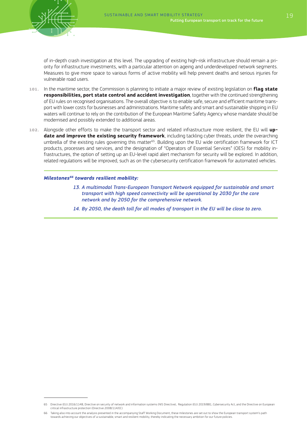of in-depth crash investigation at this level. The upgrading of existing high-risk infrastructure should remain a priority for infrastructure investments, with a particular attention on ageing and underdeveloped network segments. Measures to give more space to various forms of active mobility will help prevent deaths and serious injuries for vulnerable road users.

- 101. In the maritime sector, the Commission is planning to initiate a major review of existing legislation on **flag state responsibilities, port state control and accident investigation**, together with the continued strengthening of EU rules on recognised organisations. The overall objective is to enable safe, secure and efficient maritime transport with lower costs for businesses and administrations. Maritime safety and smart and sustainable shipping in EU waters will continue to rely on the contribution of the European Maritime Safety Agency whose mandate should be modernised and possibly extended to additional areas.
- 102. Alongside other efforts to make the transport sector and related infrastructure more resilient, the EU will **update and improve the existing security framework**, including tackling cyber threats, under the overarching umbrella of the existing rules governing this matter<sup>65</sup>. Building upon the EU wide certification framework for ICT products, processes and services, and the designation of "Operators of Essential Services" (OES) for mobility infrastructures, the option of setting up an EU-level rapid alert mechanism for security will be explored. In addition, related regulations will be improved, such as on the cybersecurity certification framework for automated vehicles.

#### *Milestones66 towards resilient mobility:*

- *13. A multimodal Trans-European Transport Network equipped for sustainable and smart transport with high speed connectivity will be operational by 2030 for the core network and by 2050 for the comprehensive network.*
- *14. By 2050, the death toll for all modes of transport in the EU will be close to zero.*

<sup>65</sup> Directive (EU) 2016/1148, Directive on security of network and information systems (NIS Directive), Regulation (EU) 2019/881, Cybersecurity Act, and the Directive on European critical infrastructure protection (Directive 2008/114/EC)

<sup>66</sup> Taking also into account the analysis presented in the accompanying Staff Working Document, these milestones are set out to show the European transport system's path towards achieving our objectives of a sustainable, smart and resilient mobility, thereby indicating the necessary ambition for our future policies.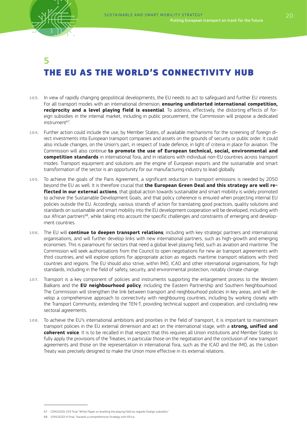

# 5 THE EU AS THE WORLD'S CONNECTIVITY HUB

- 103. In view of rapidly changing geopolitical developments, the EU needs to act to safeguard and further EU interests. For all transport modes with an international dimension, **ensuring undistorted international competition, reciprocity and a level playing field is essential**. To address, effectively, the distorting effects of foreign subsidies in the internal market, including in public procurement, the Commission will propose a dedicated instrument<sup>67</sup>
- 104. Further action could include the use, by Member States, of available mechanisms for the screening of foreign direct investments into European transport companies and assets on the grounds of security or public order. It could also include changes, on the Union's part, in respect of trade defence, in light of criteria in place for aviation. The Commission will also continue **to promote the use of European technical, social, environmental and competition standards** in international fora, and in relations with individual non-EU countries across transport modes. Transport equipment and solutions are the engine of European exports and the sustainable and smart transformation of the sector is an opportunity for our manufacturing industry to lead globally.
- 105. To achieve the goals of the Paris Agreement, a significant reduction in transport emissions is needed by 2050 beyond the EU as well. It is therefore crucial that **the European Green Deal and this strategy are well reflected in our external actions**, that global action towards sustainable and smart mobility is widely promoted to achieve the Sustainable Development Goals, and that policy coherence is ensured when projecting internal EU policies outside the EU. Accordingly, various strands of action for translating good practices, quality solutions and standards on sustainable and smart mobility into the EU development cooperation will be developed, including with our African partners<sup>68</sup>, while taking into account the specific challenges and constraints of emerging and development countries.
- 106. The EU will **continue to deepen transport relations**, including with key strategic partners and international organisations, and will further develop links with new international partners, such as high-growth and emerging economies. This is paramount for sectors that need a global level playing field, such as aviation and maritime. The Commission will seek authorisations from the Council to open negotiations for new air transport agreements with third countries, and will explore options for appropriate action as regards maritime transport relations with third countries and regions. The EU should also strive, within IMO, ICAO and other international organisations, for high standards, including in the field of safety, security, and environmental protection, notably climate change.
- 107. Transport is a key component of policies and instruments supporting the enlargement process to the Western Balkans and the **EU neighbourhood policy**, including the Eastern Partnership and Southern Neighbourhood. The Commission will strengthen the link between transport and neighbourhood policies in key areas, and will develop a comprehensive approach to connectivity with neighbouring countries, including by working closely with the Transport Community, extending the TEN-T, providing technical support and cooperation, and concluding new sectoral agreements.
- 108. To achieve the EU's international ambitions and priorities in the field of transport, it is important to mainstream transport policies in the EU external dimension and act on the international stage, with a **strong, unified and coherent voice**. It is to be recalled in that respect that this requires all Union institutions and Member States to fully apply the provisions of the Treaties, in particular those on the negotiation and the conclusion of new transport agreements and those on the representation in international fora, such as the ICAO and the IMO, as the Lisbon Treaty was precisely designed to make the Union more effective in its external relations.

<sup>67</sup> COM(2020) 253 final "White Paper on levelling the playing field as regards foreign subsidies"

<sup>68</sup> JOIN(2020) 4 final, Towards a comprehensive Strategy with Africa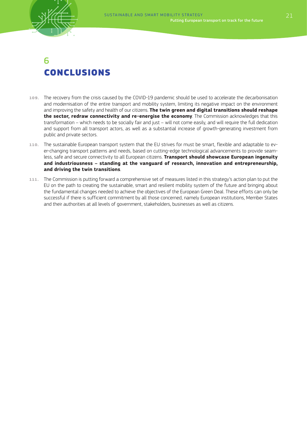

# $\mathsf{F}$ CONCLUSIONS

- 109. The recovery from the crisis caused by the COVID-19 pandemic should be used to accelerate the decarbonisation and modernisation of the entire transport and mobility system, limiting its negative impact on the environment and improving the safety and health of our citizens. **The twin green and digital transitions should reshape the sector, redraw connectivity and re-energise the economy**. The Commission acknowledges that this transformation – which needs to be socially fair and just – will not come easily, and will require the full dedication and support from all transport actors, as well as a substantial increase of growth-generating investment from public and private sectors.
- 110. The sustainable European transport system that the EU strives for must be smart, flexible and adaptable to ever-changing transport patterns and needs, based on cutting-edge technological advancements to provide seamless, safe and secure connectivity to all European citizens. **Transport should showcase European ingenuity and industriousness – standing at the vanguard of research, innovation and entrepreneurship, and driving the twin transitions**.
- 111. The Commission is putting forward a comprehensive set of measures listed in this strategy's action plan to put the EU on the path to creating the sustainable, smart and resilient mobility system of the future and bringing about the fundamental changes needed to achieve the objectives of the European Green Deal. These efforts can only be successful if there is sufficient commitment by all those concerned, namely European institutions, Member States and their authorities at all levels of government, stakeholders, businesses as well as citizens.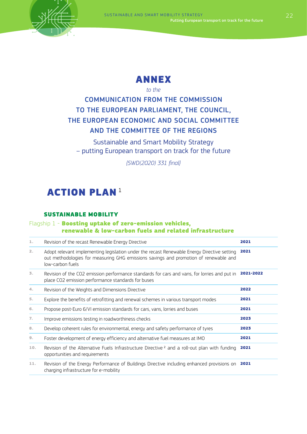



### *to the*

## COMMUNICATION FROM THE COMMISSION TO THE EUROPEAN PARLIAMENT, THE COUNCIL, THE EUROPEAN ECONOMIC AND SOCIAL COMMITTEE AND THE COMMITTEE OF THE REGIONS

Sustainable and Smart Mobility Strategy – putting European transport on track for the future

*{SWD(2020) 331 final}*

# **ACTION PLAN<sup>1</sup>**

#### SUSTAINABLE MOBILITY

#### Flagship 1 - Boosting uptake of zero-emission vehicles, renewable & low-carbon fuels and related infrastructure

| 1.  | Revision of the recast Renewable Energy Directive                                                                                                                                                       | 2021      |
|-----|---------------------------------------------------------------------------------------------------------------------------------------------------------------------------------------------------------|-----------|
| 2.  | Adopt relevant implementing legislation under the recast Renewable Energy Directive setting<br>out methodologies for measuring GHG emissions savings and promotion of renewable and<br>low-carbon fuels | 2021      |
| 3.  | Revision of the CO2 emission performance standards for cars and vans, for lorries and put in<br>place CO2 emission performance standards for buses                                                      | 2021-2022 |
| 4.  | Revision of the Weights and Dimensions Directive                                                                                                                                                        | 2022      |
| 5.  | Explore the benefits of retrofitting and renewal schemes in various transport modes                                                                                                                     | 2021      |
| 6.  | Propose post-Euro 6/VI emission standards for cars, vans, lorries and buses                                                                                                                             | 2021      |
| 7.  | Improve emissions testing in roadworthiness checks                                                                                                                                                      | 2023      |
| 8.  | Develop coherent rules for environmental, energy and safety performance of tyres                                                                                                                        | 2023      |
| 9.  | Foster development of energy efficiency and alternative fuel measures at IMO                                                                                                                            | 2021      |
| 10. | Revision of the Alternative Fuels Infrastructure Directive $^2$ and a roll-out plan with funding<br>opportunities and requirements                                                                      | 2021      |
| 11. | Revision of the Energy Performance of Buildings Directive including enhanced provisions on<br>charging infrastructure for e-mobility                                                                    | 2021      |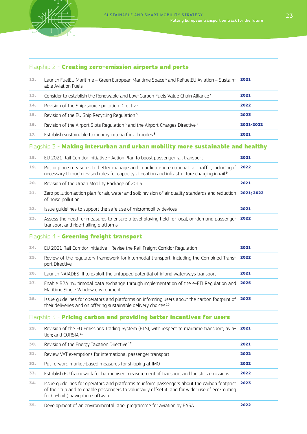

## Flagship 2 - Creating zero-emission airports and ports

| 12. | Launch FuelEU Maritime - Green European Maritime Space <sup>3</sup> and ReFuelEU Aviation - Sustain- 2021<br>able Aviation Fuels                                                                                                        |            |
|-----|-----------------------------------------------------------------------------------------------------------------------------------------------------------------------------------------------------------------------------------------|------------|
| 13. | Consider to establish the Renewable and Low-Carbon Fuels Value Chain Alliance <sup>4</sup>                                                                                                                                              | 2021       |
| 14. | Revision of the Ship-source pollution Directive                                                                                                                                                                                         | 2022       |
| 15. | Revision of the EU Ship Recycling Regulation <sup>5</sup>                                                                                                                                                                               | 2023       |
| 16. | Revision of the Airport Slots Regulation <sup>6</sup> and the Airport Charges Directive <sup>7</sup>                                                                                                                                    | 2021-2022  |
| 17. | Establish sustainable taxonomy criteria for all modes <sup>8</sup>                                                                                                                                                                      | 2021       |
|     | Flagship 3 - Making interurban and urban mobility more sustainable and healthy                                                                                                                                                          |            |
| 18. | EU 2021 Rail Corridor Initiative - Action Plan to boost passenger rail transport                                                                                                                                                        | 2021       |
| 19. | Put in place measures to better manage and coordinate international rail traffic, including if<br>necessary through revised rules for capacity allocation and infrastructure charging in rail <sup>9</sup>                              | 2022       |
| 20. | Revision of the Urban Mobility Package of 2013                                                                                                                                                                                          | 2021       |
| 21. | Zero pollution action plan for air, water and soil; revision of air quality standards and reduction<br>of noise pollution                                                                                                               | 2021; 2022 |
| 22. | Issue quidelines to support the safe use of micromobility devices                                                                                                                                                                       | 2021       |
| 23. | Assess the need for measures to ensure a level playing field for local, on-demand passenger<br>transport and ride-hailing platforms                                                                                                     | 2022       |
|     | Flagship 4 - Greening freight transport                                                                                                                                                                                                 |            |
| 24. | EU 2021 Rail Corridor Initiative - Revise the Rail Freight Corridor Regulation                                                                                                                                                          | 2021       |
| 25. | Review of the regulatory framework for intermodal transport, including the Combined Trans-<br>port Directive                                                                                                                            | 2022       |
| 26. | Launch NAIADES III to exploit the untapped potential of inland waterways transport                                                                                                                                                      | 2021       |
| 27. | Enable B2A multimodal data exchange through implementation of the e-FTI Regulation and<br>Maritime Single Window environment                                                                                                            | 2025       |
| 28. | Issue guidelines for operators and platforms on informing users about the carbon footprint of<br>their deliveries and on offering sustainable delivery choices 10                                                                       | 2023       |
|     | Flagship 5 - Pricing carbon and providing better incentives for users                                                                                                                                                                   |            |
| 29. | Revision of the EU Emissions Trading System (ETS), with respect to maritime transport; avia-<br>tion; and CORSIA <sup>11</sup>                                                                                                          | 2021       |
| 30. | Revision of the Energy Taxation Directive <sup>12</sup>                                                                                                                                                                                 | 2021       |
| 31. | Review VAT exemptions for international passenger transport                                                                                                                                                                             | 2022       |
| 32. | Put forward market-based measures for shipping at IMO                                                                                                                                                                                   | 2022       |
| 33. | Establish EU framework for harmonised measurement of transport and logistics emissions                                                                                                                                                  | 2022       |
| 34. | Issue guidelines for operators and platforms to inform passengers about the carbon footprint<br>of their trip and to enable passengers to voluntarily offset it, and for wider use of eco-routing<br>for (in-built) navigation software | 2023       |
| 35. | Development of an environmental label programme for aviation by EASA                                                                                                                                                                    | 2022       |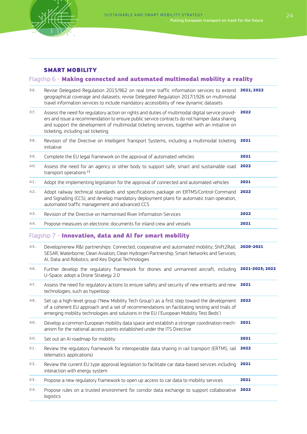

#### SMART MOBILITY

### Flagship 6 - Making connected and automated multimodal mobility a reality

| 36. | Revise Delegated Regulation 2015/962 on real time traffic information services to extend 2021; 2022<br>geographical coverage and datasets; revise Delegated Regulation 2017/1926 on multimodal<br>travel information services to include mandatory accessibility of new dynamic datasets                                                |                 |
|-----|-----------------------------------------------------------------------------------------------------------------------------------------------------------------------------------------------------------------------------------------------------------------------------------------------------------------------------------------|-----------------|
| 37. | Assess the need for regulatory action on rights and duties of multimodal digital service provid-<br>ers and issue a recommendation to ensure public service contracts do not hamper data sharing<br>and support the development of multimodal ticketing services, together with an initiative on<br>ticketing, including rail ticketing | 2022            |
| 38. | Revision of the Directive on Intelligent Transport Systems, including a multimodal ticketing<br>initiative                                                                                                                                                                                                                              | 2021            |
| 39. | Complete the EU legal framework on the approval of automated vehicles                                                                                                                                                                                                                                                                   | 2021            |
| 40. | Assess the need for an agency or other body to support safe, smart and sustainable road<br>transport operations <sup>13</sup>                                                                                                                                                                                                           | 2022            |
| 41. | Adopt the implementing legislation for the approval of connected and automated vehicles                                                                                                                                                                                                                                                 | 2021            |
| 42. | Adopt railway technical standards and specifications package on ERTMS/Control-Command<br>and Signalling (CCS); and develop mandatory deployment plans for automatic train operation,<br>automated traffic management and advanced CCS                                                                                                   | 2022            |
| 43. | Revision of the Directive on Harmonised River Information Services                                                                                                                                                                                                                                                                      | 2022            |
| 44. | Propose measures on electronic documents for inland crew and vessels                                                                                                                                                                                                                                                                    | 2021            |
|     | Flagship 7 - Innovation, data and AI for smart mobility                                                                                                                                                                                                                                                                                 |                 |
| 45. | Develop/renew R&I partnerships: Connected, cooperative and automated mobility; Shift2Rail;<br>SESAR; Waterborne; Clean Aviation; Clean Hydrogen Partnership; Smart Networks and Services;<br>AI, Data and Robotics; and Key Digital Technologies                                                                                        | 2020-2021       |
| 46. | Further develop the regulatory framework for drones and unmanned aircraft, including<br>U-Space; adopt a Drone Strategy 2.0                                                                                                                                                                                                             | 2021-2023; 2022 |
| 47. | Assess the need for regulatory actions to ensure safety and security of new entrants and new<br>technologies, such as hyperloop                                                                                                                                                                                                         | 2021            |
| 48. | Set up a high-level group ('New Mobility Tech Group') as a first step toward the development<br>of a coherent EU approach and a set of recommendations on facilitating testing and trials of<br>emerging mobility technologies and solutions in the EU ('European Mobility Test Beds')                                                  | 2022            |
| 49. | Develop a common European mobility data space and establish a stronger coordination mech-<br>2021<br>anism for the national access points established under the ITS Directive                                                                                                                                                           |                 |
| 50. | Set out an AI roadmap for mobility                                                                                                                                                                                                                                                                                                      | 2021            |
| 51. | Review the regulatory framework for interoperable data sharing in rail transport (ERTMS, rail<br>telematics applications)                                                                                                                                                                                                               | 2022            |
| 52. | Review the current EU type approval legislation to facilitate car data-based services including<br>interaction with energy system                                                                                                                                                                                                       | 2021            |
| 53. | Propose a new regulatory framework to open up access to car data to mobility services                                                                                                                                                                                                                                                   | 2021            |
| 54. | Propose rules on a trusted environment for corridor data exchange to support collaborative<br>logistics                                                                                                                                                                                                                                 | 2022            |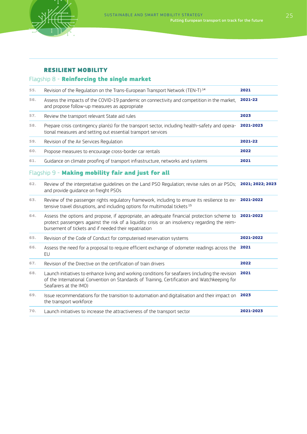

### RESILIENT MOBILITY

## Flagship 8 - Reinforcing the single market

| 55. | Revision of the Regulation on the Trans-European Transport Network (TEN-T) <sup>14</sup>                                                                                                                                                              | 2021      |
|-----|-------------------------------------------------------------------------------------------------------------------------------------------------------------------------------------------------------------------------------------------------------|-----------|
| 56. | Assess the impacts of the COVID-19 pandemic on connectivity and competition in the market,<br>and propose follow-up measures as appropriate                                                                                                           | 2021-22   |
| 57. | Review the transport relevant State aid rules                                                                                                                                                                                                         | 2023      |
| 58. | Prepare crisis contingency plan(s) for the transport sector, including health-safety and opera-<br>tional measures and setting out essential transport services                                                                                       | 2021-2023 |
| 59. | Revision of the Air Services Regulation                                                                                                                                                                                                               | 2021-22   |
| 60. | Propose measures to encourage cross-border car rentals                                                                                                                                                                                                | 2022      |
| 61. | Guidance on climate proofing of transport infrastructure, networks and systems                                                                                                                                                                        | 2021      |
|     | Flagship 9 - Making mobility fair and just for all                                                                                                                                                                                                    |           |
| 62. | Review of the interpretative quidelines on the Land PSO Regulation; revise rules on air PSOs; 2021; 2022; 2023<br>and provide quidance on freight PSOs                                                                                                |           |
| 63. | Review of the passenger rights regulatory framework, including to ensure its resilience to ex-<br>tensive travel disruptions, and including options for multimodal tickets <sup>15</sup>                                                              | 2021-2022 |
| 64. | Assess the options and propose, if appropriate, an adequate financial protection scheme to<br>protect passengers against the risk of a liquidity crisis or an insolvency regarding the reim-<br>bursement of tickets and if needed their repatriation | 2021-2022 |
| 65. | Revision of the Code of Conduct for computerised reservation systems                                                                                                                                                                                  | 2021-2022 |
| 66. | Assess the need for a proposal to require efficient exchange of odometer readings across the<br>EU                                                                                                                                                    | 2021      |
| 67. | Revision of the Directive on the certification of train drivers                                                                                                                                                                                       | 2022      |
| 68. | Launch initiatives to enhance living and working conditions for seafarers (including the revision<br>of the International Convention on Standards of Training, Certification and Watchkeeping for<br>Seafarers at the IMO)                            | 2021      |
| 69. | Issue recommendations for the transition to automation and digitalisation and their impact on<br>the transport workforce                                                                                                                              | 2023      |
| 70. | Launch initiatives to increase the attractiveness of the transport sector                                                                                                                                                                             | 2021-2023 |